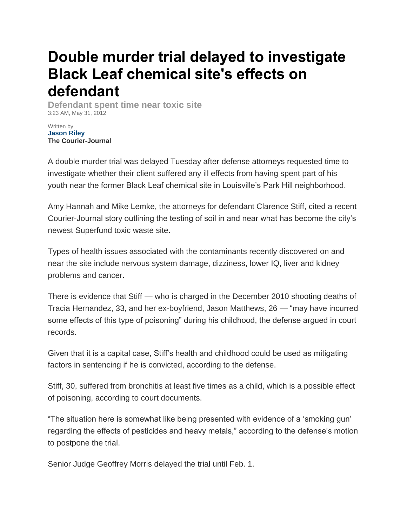## **Double murder trial delayed to investigate Black Leaf chemical site's effects on defendant**

**Defendant spent time near toxic site** 3:23 AM, May 31, 2012

Written by **[Jason Riley](mailto:jriley@courier-journal.com) The Courier-Journal**

A double murder trial was delayed Tuesday after defense attorneys requested time to investigate whether their client suffered any ill effects from having spent part of his youth near the former Black Leaf chemical site in Louisville's Park Hill neighborhood.

Amy Hannah and Mike Lemke, the attorneys for defendant Clarence Stiff, cited a recent Courier-Journal story outlining the testing of soil in and near what has become the city's newest Superfund toxic waste site.

Types of health issues associated with the contaminants recently discovered on and near the site include nervous system damage, dizziness, lower IQ, liver and kidney problems and cancer.

There is evidence that Stiff — who is charged in the December 2010 shooting deaths of Tracia Hernandez, 33, and her ex-boyfriend, Jason Matthews, 26 — "may have incurred some effects of this type of poisoning" during his childhood, the defense argued in court records.

Given that it is a capital case, Stiff's health and childhood could be used as mitigating factors in sentencing if he is convicted, according to the defense.

Stiff, 30, suffered from bronchitis at least five times as a child, which is a possible effect of poisoning, according to court documents.

"The situation here is somewhat like being presented with evidence of a 'smoking gun' regarding the effects of pesticides and heavy metals," according to the defense's motion to postpone the trial.

Senior Judge Geoffrey Morris delayed the trial until Feb. 1.